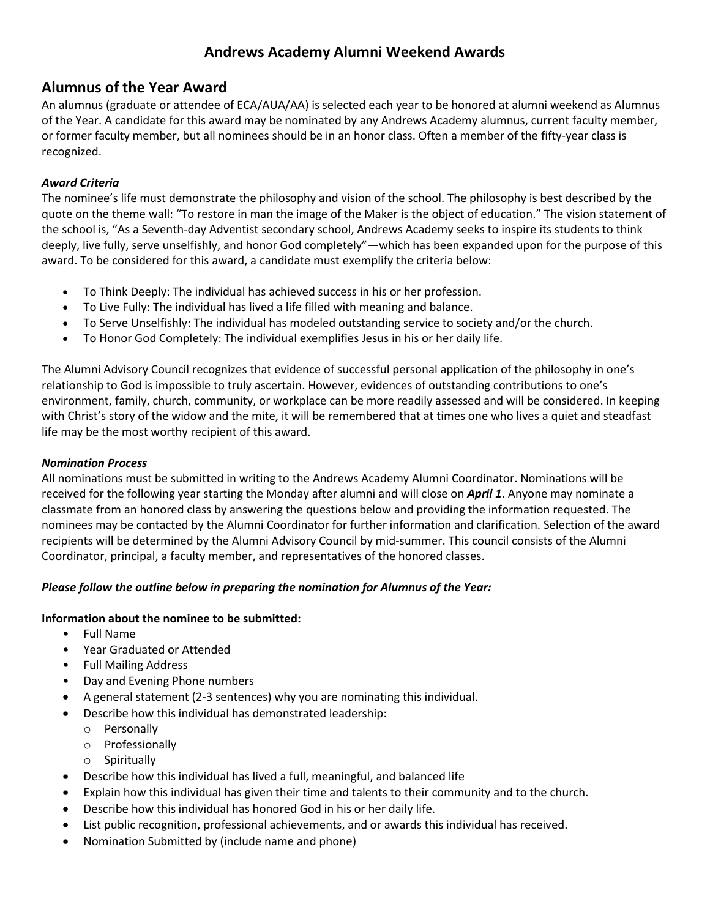# **Andrews Academy Alumni Weekend Awards**

## **Alumnus of the Year Award**

An alumnus (graduate or attendee of ECA/AUA/AA) is selected each year to be honored at alumni weekend as Alumnus of the Year. A candidate for this award may be nominated by any Andrews Academy alumnus, current faculty member, or former faculty member, but all nominees should be in an honor class. Often a member of the fifty-year class is recognized.

### *Award Criteria*

The nominee's life must demonstrate the philosophy and vision of the school. The philosophy is best described by the quote on the theme wall: "To restore in man the image of the Maker is the object of education." The vision statement of the school is, "As a Seventh-day Adventist secondary school, Andrews Academy seeks to inspire its students to think deeply, live fully, serve unselfishly, and honor God completely"—which has been expanded upon for the purpose of this award. To be considered for this award, a candidate must exemplify the criteria below:

- To Think Deeply: The individual has achieved success in his or her profession.
- To Live Fully: The individual has lived a life filled with meaning and balance.
- To Serve Unselfishly: The individual has modeled outstanding service to society and/or the church.
- To Honor God Completely: The individual exemplifies Jesus in his or her daily life.

The Alumni Advisory Council recognizes that evidence of successful personal application of the philosophy in one's relationship to God is impossible to truly ascertain. However, evidences of outstanding contributions to one's environment, family, church, community, or workplace can be more readily assessed and will be considered. In keeping with Christ's story of the widow and the mite, it will be remembered that at times one who lives a quiet and steadfast life may be the most worthy recipient of this award.

#### *Nomination Process*

All nominations must be submitted in writing to the Andrews Academy Alumni Coordinator. Nominations will be received for the following year starting the Monday after alumni and will close on *April 1*. Anyone may nominate a classmate from an honored class by answering the questions below and providing the information requested. The nominees may be contacted by the Alumni Coordinator for further information and clarification. Selection of the award recipients will be determined by the Alumni Advisory Council by mid-summer. This council consists of the Alumni Coordinator, principal, a faculty member, and representatives of the honored classes.

#### *Please follow the outline below in preparing the nomination for Alumnus of the Year:*

#### **Information about the nominee to be submitted:**

- Full Name
- Year Graduated or Attended
- Full Mailing Address
- Day and Evening Phone numbers
- A general statement (2-3 sentences) why you are nominating this individual.
- Describe how this individual has demonstrated leadership:
	- o Personally
	- o Professionally
	- o Spiritually
- Describe how this individual has lived a full, meaningful, and balanced life
- Explain how this individual has given their time and talents to their community and to the church.
- Describe how this individual has honored God in his or her daily life.
- List public recognition, professional achievements, and or awards this individual has received.
- Nomination Submitted by (include name and phone)